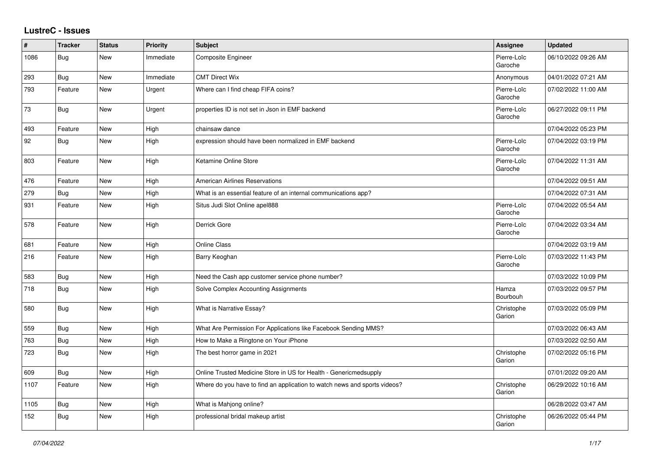## **LustreC - Issues**

| #    | <b>Tracker</b> | <b>Status</b> | <b>Priority</b> | <b>Subject</b>                                                            | <b>Assignee</b>        | <b>Updated</b>      |
|------|----------------|---------------|-----------------|---------------------------------------------------------------------------|------------------------|---------------------|
| 1086 | Bug            | New           | Immediate       | Composite Engineer                                                        | Pierre-Loïc<br>Garoche | 06/10/2022 09:26 AM |
| 293  | <b>Bug</b>     | New           | Immediate       | <b>CMT Direct Wix</b>                                                     | Anonymous              | 04/01/2022 07:21 AM |
| 793  | Feature        | New           | Urgent          | Where can I find cheap FIFA coins?                                        | Pierre-Loïc<br>Garoche | 07/02/2022 11:00 AM |
| 73   | <b>Bug</b>     | New           | Urgent          | properties ID is not set in Json in EMF backend                           | Pierre-Loïc<br>Garoche | 06/27/2022 09:11 PM |
| 493  | Feature        | New           | High            | chainsaw dance                                                            |                        | 07/04/2022 05:23 PM |
| 92   | Bug            | <b>New</b>    | High            | expression should have been normalized in EMF backend                     | Pierre-Loïc<br>Garoche | 07/04/2022 03:19 PM |
| 803  | Feature        | New           | High            | Ketamine Online Store                                                     | Pierre-Loïc<br>Garoche | 07/04/2022 11:31 AM |
| 476  | Feature        | New           | High            | <b>American Airlines Reservations</b>                                     |                        | 07/04/2022 09:51 AM |
| 279  | <b>Bug</b>     | <b>New</b>    | High            | What is an essential feature of an internal communications app?           |                        | 07/04/2022 07:31 AM |
| 931  | Feature        | <b>New</b>    | High            | Situs Judi Slot Online apel888                                            | Pierre-Loïc<br>Garoche | 07/04/2022 05:54 AM |
| 578  | Feature        | New           | High            | Derrick Gore                                                              | Pierre-Loïc<br>Garoche | 07/04/2022 03:34 AM |
| 681  | Feature        | <b>New</b>    | High            | <b>Online Class</b>                                                       |                        | 07/04/2022 03:19 AM |
| 216  | Feature        | <b>New</b>    | High            | Barry Keoghan                                                             | Pierre-Loïc<br>Garoche | 07/03/2022 11:43 PM |
| 583  | Bug            | New           | High            | Need the Cash app customer service phone number?                          |                        | 07/03/2022 10:09 PM |
| 718  | Bug            | <b>New</b>    | High            | Solve Complex Accounting Assignments                                      | Hamza<br>Bourbouh      | 07/03/2022 09:57 PM |
| 580  | <b>Bug</b>     | <b>New</b>    | High            | What is Narrative Essay?                                                  | Christophe<br>Garion   | 07/03/2022 05:09 PM |
| 559  | Bug            | New           | High            | What Are Permission For Applications like Facebook Sending MMS?           |                        | 07/03/2022 06:43 AM |
| 763  | Bug            | <b>New</b>    | High            | How to Make a Ringtone on Your iPhone                                     |                        | 07/03/2022 02:50 AM |
| 723  | <b>Bug</b>     | New           | High            | The best horror game in 2021                                              | Christophe<br>Garion   | 07/02/2022 05:16 PM |
| 609  | Bug            | <b>New</b>    | High            | Online Trusted Medicine Store in US for Health - Genericmedsupply         |                        | 07/01/2022 09:20 AM |
| 1107 | Feature        | <b>New</b>    | High            | Where do you have to find an application to watch news and sports videos? | Christophe<br>Garion   | 06/29/2022 10:16 AM |
| 1105 | Bug            | New           | High            | What is Mahjong online?                                                   |                        | 06/28/2022 03:47 AM |
| 152  | Bug            | <b>New</b>    | High            | professional bridal makeup artist                                         | Christophe<br>Garion   | 06/26/2022 05:44 PM |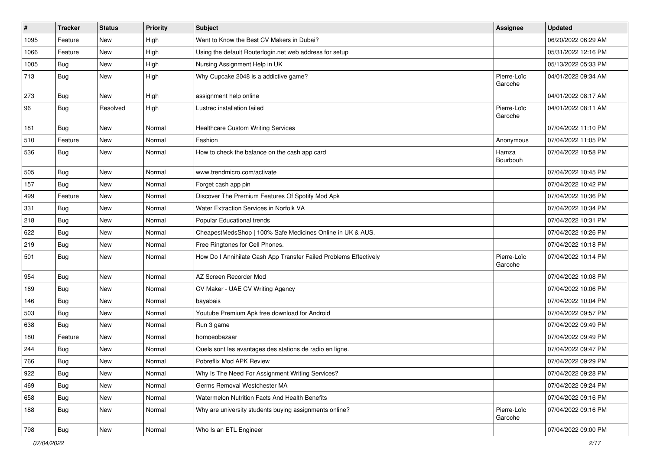| $\vert$ # | <b>Tracker</b> | <b>Status</b> | <b>Priority</b> | Subject                                                           | <b>Assignee</b>        | <b>Updated</b>      |
|-----------|----------------|---------------|-----------------|-------------------------------------------------------------------|------------------------|---------------------|
| 1095      | Feature        | New           | High            | Want to Know the Best CV Makers in Dubai?                         |                        | 06/20/2022 06:29 AM |
| 1066      | Feature        | <b>New</b>    | High            | Using the default Routerlogin.net web address for setup           |                        | 05/31/2022 12:16 PM |
| 1005      | Bug            | New           | High            | Nursing Assignment Help in UK                                     |                        | 05/13/2022 05:33 PM |
| 713       | Bug            | New           | High            | Why Cupcake 2048 is a addictive game?                             | Pierre-Loïc<br>Garoche | 04/01/2022 09:34 AM |
| 273       | Bug            | <b>New</b>    | High            | assignment help online                                            |                        | 04/01/2022 08:17 AM |
| 96        | Bug            | Resolved      | High            | Lustrec installation failed                                       | Pierre-Loïc<br>Garoche | 04/01/2022 08:11 AM |
| 181       | Bug            | New           | Normal          | <b>Healthcare Custom Writing Services</b>                         |                        | 07/04/2022 11:10 PM |
| 510       | Feature        | <b>New</b>    | Normal          | Fashion                                                           | Anonymous              | 07/04/2022 11:05 PM |
| 536       | Bug            | New           | Normal          | How to check the balance on the cash app card                     | Hamza<br>Bourbouh      | 07/04/2022 10:58 PM |
| 505       | Bug            | New           | Normal          | www.trendmicro.com/activate                                       |                        | 07/04/2022 10:45 PM |
| 157       | Bug            | New           | Normal          | Forget cash app pin                                               |                        | 07/04/2022 10:42 PM |
| 499       | Feature        | <b>New</b>    | Normal          | Discover The Premium Features Of Spotify Mod Apk                  |                        | 07/04/2022 10:36 PM |
| 331       | Bug            | New           | Normal          | Water Extraction Services in Norfolk VA                           |                        | 07/04/2022 10:34 PM |
| 218       | Bug            | <b>New</b>    | Normal          | Popular Educational trends                                        |                        | 07/04/2022 10:31 PM |
| 622       | Bug            | New           | Normal          | CheapestMedsShop   100% Safe Medicines Online in UK & AUS.        |                        | 07/04/2022 10:26 PM |
| 219       | <b>Bug</b>     | New           | Normal          | Free Ringtones for Cell Phones.                                   |                        | 07/04/2022 10:18 PM |
| 501       | Bug            | New           | Normal          | How Do I Annihilate Cash App Transfer Failed Problems Effectively | Pierre-Loïc<br>Garoche | 07/04/2022 10:14 PM |
| 954       | <b>Bug</b>     | New           | Normal          | AZ Screen Recorder Mod                                            |                        | 07/04/2022 10:08 PM |
| 169       | <b>Bug</b>     | <b>New</b>    | Normal          | CV Maker - UAE CV Writing Agency                                  |                        | 07/04/2022 10:06 PM |
| 146       | Bug            | New           | Normal          | bayabais                                                          |                        | 07/04/2022 10:04 PM |
| 503       | Bug            | <b>New</b>    | Normal          | Youtube Premium Apk free download for Android                     |                        | 07/04/2022 09:57 PM |
| 638       | Bug            | New           | Normal          | Run 3 game                                                        |                        | 07/04/2022 09:49 PM |
| 180       | Feature        | New           | Normal          | homoeobazaar                                                      |                        | 07/04/2022 09:49 PM |
| 244       | Bug            | New           | Normal          | Quels sont les avantages des stations de radio en ligne.          |                        | 07/04/2022 09:47 PM |
| 766       | <b>Bug</b>     | <b>New</b>    | Normal          | Pobreflix Mod APK Review                                          |                        | 07/04/2022 09:29 PM |
| 922       | Bug            | New           | Normal          | Why Is The Need For Assignment Writing Services?                  |                        | 07/04/2022 09:28 PM |
| 469       | <b>Bug</b>     | New           | Normal          | Germs Removal Westchester MA                                      |                        | 07/04/2022 09:24 PM |
| 658       | <b>Bug</b>     | New           | Normal          | Watermelon Nutrition Facts And Health Benefits                    |                        | 07/04/2022 09:16 PM |
| 188       | Bug            | New           | Normal          | Why are university students buying assignments online?            | Pierre-Loïc<br>Garoche | 07/04/2022 09:16 PM |
| 798       | Bug            | New           | Normal          | Who Is an ETL Engineer                                            |                        | 07/04/2022 09:00 PM |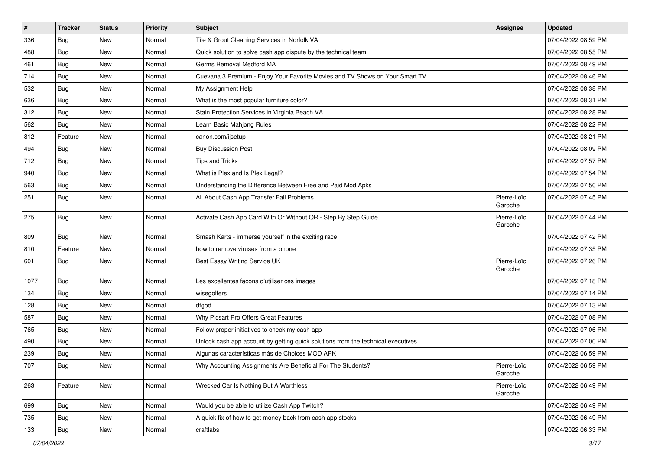| $\vert$ # | <b>Tracker</b> | <b>Status</b> | <b>Priority</b> | <b>Subject</b>                                                                   | <b>Assignee</b>        | <b>Updated</b>      |
|-----------|----------------|---------------|-----------------|----------------------------------------------------------------------------------|------------------------|---------------------|
| 336       | Bug            | New           | Normal          | Tile & Grout Cleaning Services in Norfolk VA                                     |                        | 07/04/2022 08:59 PM |
| 488       | Bug            | <b>New</b>    | Normal          | Quick solution to solve cash app dispute by the technical team                   |                        | 07/04/2022 08:55 PM |
| 461       | Bug            | New           | Normal          | Germs Removal Medford MA                                                         |                        | 07/04/2022 08:49 PM |
| 714       | Bug            | New           | Normal          | Cuevana 3 Premium - Enjoy Your Favorite Movies and TV Shows on Your Smart TV     |                        | 07/04/2022 08:46 PM |
| 532       | Bug            | New           | Normal          | My Assignment Help                                                               |                        | 07/04/2022 08:38 PM |
| 636       | Bug            | New           | Normal          | What is the most popular furniture color?                                        |                        | 07/04/2022 08:31 PM |
| 312       | Bug            | New           | Normal          | Stain Protection Services in Virginia Beach VA                                   |                        | 07/04/2022 08:28 PM |
| 562       | Bug            | New           | Normal          | Learn Basic Mahjong Rules                                                        |                        | 07/04/2022 08:22 PM |
| 812       | Feature        | New           | Normal          | canon.com/ijsetup                                                                |                        | 07/04/2022 08:21 PM |
| 494       | Bug            | New           | Normal          | <b>Buy Discussion Post</b>                                                       |                        | 07/04/2022 08:09 PM |
| 712       | <b>Bug</b>     | New           | Normal          | <b>Tips and Tricks</b>                                                           |                        | 07/04/2022 07:57 PM |
| 940       | Bug            | New           | Normal          | What is Plex and Is Plex Legal?                                                  |                        | 07/04/2022 07:54 PM |
| 563       | Bug            | New           | Normal          | Understanding the Difference Between Free and Paid Mod Apks                      |                        | 07/04/2022 07:50 PM |
| 251       | Bug            | New           | Normal          | All About Cash App Transfer Fail Problems                                        | Pierre-Loïc<br>Garoche | 07/04/2022 07:45 PM |
| 275       | Bug            | New           | Normal          | Activate Cash App Card With Or Without QR - Step By Step Guide                   | Pierre-Loïc<br>Garoche | 07/04/2022 07:44 PM |
| 809       | Bug            | New           | Normal          | Smash Karts - immerse yourself in the exciting race                              |                        | 07/04/2022 07:42 PM |
| 810       | Feature        | New           | Normal          | how to remove viruses from a phone                                               |                        | 07/04/2022 07:35 PM |
| 601       | Bug            | New           | Normal          | Best Essay Writing Service UK                                                    | Pierre-Loïc<br>Garoche | 07/04/2022 07:26 PM |
| 1077      | Bug            | New           | Normal          | Les excellentes façons d'utiliser ces images                                     |                        | 07/04/2022 07:18 PM |
| 134       | Bug            | New           | Normal          | wisegolfers                                                                      |                        | 07/04/2022 07:14 PM |
| 128       | Bug            | New           | Normal          | dfgbd                                                                            |                        | 07/04/2022 07:13 PM |
| 587       | <b>Bug</b>     | New           | Normal          | Why Picsart Pro Offers Great Features                                            |                        | 07/04/2022 07:08 PM |
| 765       | Bug            | New           | Normal          | Follow proper initiatives to check my cash app                                   |                        | 07/04/2022 07:06 PM |
| 490       | Bug            | New           | Normal          | Unlock cash app account by getting quick solutions from the technical executives |                        | 07/04/2022 07:00 PM |
| 239       | <b>Bug</b>     | New           | Normal          | Algunas características más de Choices MOD APK                                   |                        | 07/04/2022 06:59 PM |
| 707       | <b>Bug</b>     | New           | Normal          | Why Accounting Assignments Are Beneficial For The Students?                      | Pierre-Loïc<br>Garoche | 07/04/2022 06:59 PM |
| 263       | Feature        | New           | Normal          | Wrecked Car Is Nothing But A Worthless                                           | Pierre-Loïc<br>Garoche | 07/04/2022 06:49 PM |
| 699       | Bug            | New           | Normal          | Would you be able to utilize Cash App Twitch?                                    |                        | 07/04/2022 06:49 PM |
| 735       | <b>Bug</b>     | New           | Normal          | A quick fix of how to get money back from cash app stocks                        |                        | 07/04/2022 06:49 PM |
| 133       | Bug            | New           | Normal          | craftlabs                                                                        |                        | 07/04/2022 06:33 PM |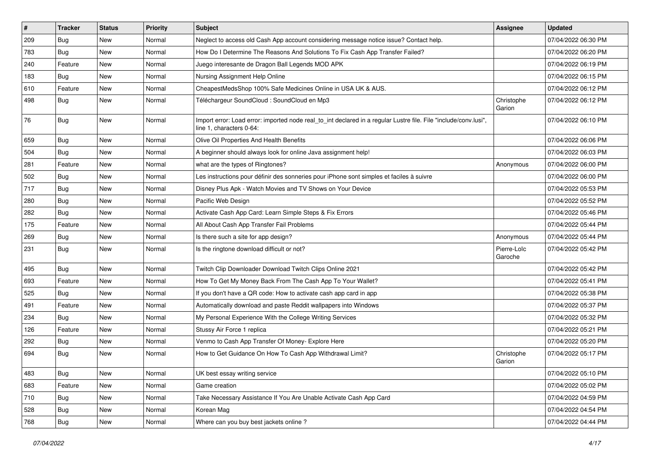| $\vert$ # | <b>Tracker</b> | <b>Status</b> | <b>Priority</b> | Subject                                                                                                                                      | Assignee               | <b>Updated</b>      |
|-----------|----------------|---------------|-----------------|----------------------------------------------------------------------------------------------------------------------------------------------|------------------------|---------------------|
| 209       | Bug            | New           | Normal          | Neglect to access old Cash App account considering message notice issue? Contact help.                                                       |                        | 07/04/2022 06:30 PM |
| 783       | Bug            | New           | Normal          | How Do I Determine The Reasons And Solutions To Fix Cash App Transfer Failed?                                                                |                        | 07/04/2022 06:20 PM |
| 240       | Feature        | New           | Normal          | Juego interesante de Dragon Ball Legends MOD APK                                                                                             |                        | 07/04/2022 06:19 PM |
| 183       | Bug            | New           | Normal          | Nursing Assignment Help Online                                                                                                               |                        | 07/04/2022 06:15 PM |
| 610       | Feature        | New           | Normal          | CheapestMedsShop 100% Safe Medicines Online in USA UK & AUS.                                                                                 |                        | 07/04/2022 06:12 PM |
| 498       | <b>Bug</b>     | New           | Normal          | Téléchargeur SoundCloud : SoundCloud en Mp3                                                                                                  | Christophe<br>Garion   | 07/04/2022 06:12 PM |
| 76        | Bug            | New           | Normal          | Import error: Load error: imported node real_to_int declared in a regular Lustre file. File "include/conv.lusi",<br>line 1, characters 0-64: |                        | 07/04/2022 06:10 PM |
| 659       | Bug            | New           | Normal          | Olive Oil Properties And Health Benefits                                                                                                     |                        | 07/04/2022 06:06 PM |
| 504       | <b>Bug</b>     | New           | Normal          | A beginner should always look for online Java assignment help!                                                                               |                        | 07/04/2022 06:03 PM |
| 281       | Feature        | New           | Normal          | what are the types of Ringtones?                                                                                                             | Anonymous              | 07/04/2022 06:00 PM |
| 502       | Bug            | New           | Normal          | Les instructions pour définir des sonneries pour iPhone sont simples et faciles à suivre                                                     |                        | 07/04/2022 06:00 PM |
| 717       | <b>Bug</b>     | New           | Normal          | Disney Plus Apk - Watch Movies and TV Shows on Your Device                                                                                   |                        | 07/04/2022 05:53 PM |
| 280       | Bug            | New           | Normal          | Pacific Web Design                                                                                                                           |                        | 07/04/2022 05:52 PM |
| 282       | Bug            | <b>New</b>    | Normal          | Activate Cash App Card: Learn Simple Steps & Fix Errors                                                                                      |                        | 07/04/2022 05:46 PM |
| 175       | Feature        | New           | Normal          | All About Cash App Transfer Fail Problems                                                                                                    |                        | 07/04/2022 05:44 PM |
| 269       | Bug            | New           | Normal          | Is there such a site for app design?                                                                                                         | Anonymous              | 07/04/2022 05:44 PM |
| 231       | Bug            | New           | Normal          | Is the ringtone download difficult or not?                                                                                                   | Pierre-Loïc<br>Garoche | 07/04/2022 05:42 PM |
| 495       | Bug            | New           | Normal          | Twitch Clip Downloader Download Twitch Clips Online 2021                                                                                     |                        | 07/04/2022 05:42 PM |
| 693       | Feature        | New           | Normal          | How To Get My Money Back From The Cash App To Your Wallet?                                                                                   |                        | 07/04/2022 05:41 PM |
| 525       | Bug            | New           | Normal          | If you don't have a QR code: How to activate cash app card in app                                                                            |                        | 07/04/2022 05:38 PM |
| 491       | Feature        | New           | Normal          | Automatically download and paste Reddit wallpapers into Windows                                                                              |                        | 07/04/2022 05:37 PM |
| 234       | Bug            | New           | Normal          | My Personal Experience With the College Writing Services                                                                                     |                        | 07/04/2022 05:32 PM |
| 126       | Feature        | New           | Normal          | Stussy Air Force 1 replica                                                                                                                   |                        | 07/04/2022 05:21 PM |
| 292       | <b>Bug</b>     | New           | Normal          | Venmo to Cash App Transfer Of Money- Explore Here                                                                                            |                        | 07/04/2022 05:20 PM |
| 694       | Bug            | New           | Normal          | How to Get Guidance On How To Cash App Withdrawal Limit?                                                                                     | Christophe<br>Garion   | 07/04/2022 05:17 PM |
| 483       | Bug            | New           | Normal          | UK best essay writing service                                                                                                                |                        | 07/04/2022 05:10 PM |
| 683       | Feature        | New           | Normal          | Game creation                                                                                                                                |                        | 07/04/2022 05:02 PM |
| 710       | <b>Bug</b>     | New           | Normal          | Take Necessary Assistance If You Are Unable Activate Cash App Card                                                                           |                        | 07/04/2022 04:59 PM |
| 528       | <b>Bug</b>     | New           | Normal          | Korean Mag                                                                                                                                   |                        | 07/04/2022 04:54 PM |
| 768       | <b>Bug</b>     | New           | Normal          | Where can you buy best jackets online?                                                                                                       |                        | 07/04/2022 04:44 PM |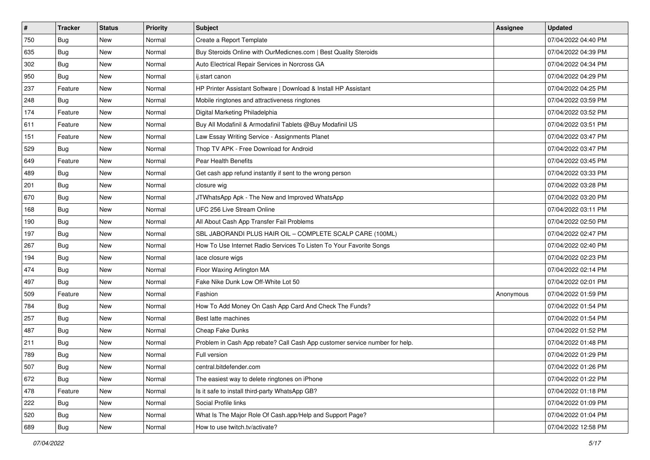| $\sharp$ | <b>Tracker</b> | <b>Status</b> | Priority | <b>Subject</b>                                                              | <b>Assignee</b> | <b>Updated</b>      |
|----------|----------------|---------------|----------|-----------------------------------------------------------------------------|-----------------|---------------------|
| 750      | <b>Bug</b>     | New           | Normal   | Create a Report Template                                                    |                 | 07/04/2022 04:40 PM |
| 635      | Bug            | New           | Normal   | Buy Steroids Online with OurMedicnes.com   Best Quality Steroids            |                 | 07/04/2022 04:39 PM |
| 302      | Bug            | New           | Normal   | Auto Electrical Repair Services in Norcross GA                              |                 | 07/04/2022 04:34 PM |
| 950      | <b>Bug</b>     | New           | Normal   | ij.start canon                                                              |                 | 07/04/2022 04:29 PM |
| 237      | Feature        | <b>New</b>    | Normal   | HP Printer Assistant Software   Download & Install HP Assistant             |                 | 07/04/2022 04:25 PM |
| 248      | Bug            | New           | Normal   | Mobile ringtones and attractiveness ringtones                               |                 | 07/04/2022 03:59 PM |
| 174      | Feature        | New           | Normal   | Digital Marketing Philadelphia                                              |                 | 07/04/2022 03:52 PM |
| 611      | Feature        | New           | Normal   | Buy All Modafinil & Armodafinil Tablets @Buy Modafinil US                   |                 | 07/04/2022 03:51 PM |
| 151      | Feature        | New           | Normal   | Law Essay Writing Service - Assignments Planet                              |                 | 07/04/2022 03:47 PM |
| 529      | Bug            | <b>New</b>    | Normal   | Thop TV APK - Free Download for Android                                     |                 | 07/04/2022 03:47 PM |
| 649      | Feature        | New           | Normal   | Pear Health Benefits                                                        |                 | 07/04/2022 03:45 PM |
| 489      | Bug            | New           | Normal   | Get cash app refund instantly if sent to the wrong person                   |                 | 07/04/2022 03:33 PM |
| 201      | <b>Bug</b>     | New           | Normal   | closure wig                                                                 |                 | 07/04/2022 03:28 PM |
| 670      | <b>Bug</b>     | New           | Normal   | JTWhatsApp Apk - The New and Improved WhatsApp                              |                 | 07/04/2022 03:20 PM |
| 168      | <b>Bug</b>     | New           | Normal   | UFC 256 Live Stream Online                                                  |                 | 07/04/2022 03:11 PM |
| 190      | Bug            | New           | Normal   | All About Cash App Transfer Fail Problems                                   |                 | 07/04/2022 02:50 PM |
| 197      | <b>Bug</b>     | New           | Normal   | SBL JABORANDI PLUS HAIR OIL - COMPLETE SCALP CARE (100ML)                   |                 | 07/04/2022 02:47 PM |
| 267      | <b>Bug</b>     | <b>New</b>    | Normal   | How To Use Internet Radio Services To Listen To Your Favorite Songs         |                 | 07/04/2022 02:40 PM |
| 194      | Bug            | New           | Normal   | lace closure wigs                                                           |                 | 07/04/2022 02:23 PM |
| 474      | <b>Bug</b>     | New           | Normal   | Floor Waxing Arlington MA                                                   |                 | 07/04/2022 02:14 PM |
| 497      | Bug            | New           | Normal   | Fake Nike Dunk Low Off-White Lot 50                                         |                 | 07/04/2022 02:01 PM |
| 509      | Feature        | New           | Normal   | Fashion                                                                     | Anonymous       | 07/04/2022 01:59 PM |
| 784      | Bug            | <b>New</b>    | Normal   | How To Add Money On Cash App Card And Check The Funds?                      |                 | 07/04/2022 01:54 PM |
| 257      | <b>Bug</b>     | New           | Normal   | Best latte machines                                                         |                 | 07/04/2022 01:54 PM |
| 487      | <b>Bug</b>     | New           | Normal   | Cheap Fake Dunks                                                            |                 | 07/04/2022 01:52 PM |
| 211      | <b>Bug</b>     | New           | Normal   | Problem in Cash App rebate? Call Cash App customer service number for help. |                 | 07/04/2022 01:48 PM |
| 789      | <b>Bug</b>     | New           | Normal   | Full version                                                                |                 | 07/04/2022 01:29 PM |
| 507      | I Bug          | New           | Normal   | central.bitdefender.com                                                     |                 | 07/04/2022 01:26 PM |
| 672      | Bug            | New           | Normal   | The easiest way to delete ringtones on iPhone                               |                 | 07/04/2022 01:22 PM |
| 478      | Feature        | New           | Normal   | Is it safe to install third-party WhatsApp GB?                              |                 | 07/04/2022 01:18 PM |
| 222      | Bug            | New           | Normal   | Social Profile links                                                        |                 | 07/04/2022 01:09 PM |
| 520      | Bug            | New           | Normal   | What Is The Major Role Of Cash.app/Help and Support Page?                   |                 | 07/04/2022 01:04 PM |
| 689      | Bug            | New           | Normal   | How to use twitch.tv/activate?                                              |                 | 07/04/2022 12:58 PM |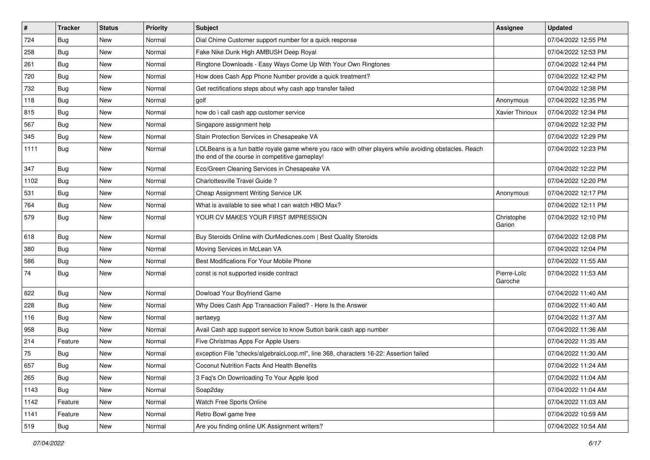| $\vert$ # | <b>Tracker</b> | <b>Status</b> | <b>Priority</b> | Subject                                                                                                                                                  | <b>Assignee</b>        | <b>Updated</b>      |
|-----------|----------------|---------------|-----------------|----------------------------------------------------------------------------------------------------------------------------------------------------------|------------------------|---------------------|
| 724       | Bug            | New           | Normal          | Dial Chime Customer support number for a quick response                                                                                                  |                        | 07/04/2022 12:55 PM |
| 258       | Bug            | <b>New</b>    | Normal          | Fake Nike Dunk High AMBUSH Deep Royal                                                                                                                    |                        | 07/04/2022 12:53 PM |
| 261       | Bug            | New           | Normal          | Ringtone Downloads - Easy Ways Come Up With Your Own Ringtones                                                                                           |                        | 07/04/2022 12:44 PM |
| 720       | Bug            | New           | Normal          | How does Cash App Phone Number provide a quick treatment?                                                                                                |                        | 07/04/2022 12:42 PM |
| 732       | Bug            | New           | Normal          | Get rectifications steps about why cash app transfer failed                                                                                              |                        | 07/04/2022 12:38 PM |
| 118       | Bug            | New           | Normal          | golf                                                                                                                                                     | Anonymous              | 07/04/2022 12:35 PM |
| 815       | Bug            | New           | Normal          | how do i call cash app customer service                                                                                                                  | <b>Xavier Thirioux</b> | 07/04/2022 12:34 PM |
| 567       | Bug            | New           | Normal          | Singapore assignment help                                                                                                                                |                        | 07/04/2022 12:32 PM |
| 345       | Bug            | <b>New</b>    | Normal          | Stain Protection Services in Chesapeake VA                                                                                                               |                        | 07/04/2022 12:29 PM |
| 1111      | Bug            | New           | Normal          | LOLBeans is a fun battle royale game where you race with other players while avoiding obstacles. Reach<br>the end of the course in competitive gameplay! |                        | 07/04/2022 12:23 PM |
| 347       | Bug            | New           | Normal          | Eco/Green Cleaning Services in Chesapeake VA                                                                                                             |                        | 07/04/2022 12:22 PM |
| 1102      | Bug            | New           | Normal          | Charlottesville Travel Guide?                                                                                                                            |                        | 07/04/2022 12:20 PM |
| 531       | Bug            | New           | Normal          | Cheap Assignment Writing Service UK                                                                                                                      | Anonymous              | 07/04/2022 12:17 PM |
| 764       | Bug            | <b>New</b>    | Normal          | What is available to see what I can watch HBO Max?                                                                                                       |                        | 07/04/2022 12:11 PM |
| 579       | Bug            | New           | Normal          | YOUR CV MAKES YOUR FIRST IMPRESSION                                                                                                                      | Christophe<br>Garion   | 07/04/2022 12:10 PM |
| 618       | Bug            | New           | Normal          | Buy Steroids Online with OurMedicnes.com   Best Quality Steroids                                                                                         |                        | 07/04/2022 12:08 PM |
| 380       | Bug            | New           | Normal          | Moving Services in McLean VA                                                                                                                             |                        | 07/04/2022 12:04 PM |
| 586       | Bug            | New           | Normal          | Best Modifications For Your Mobile Phone                                                                                                                 |                        | 07/04/2022 11:55 AM |
| 74        | Bug            | New           | Normal          | const is not supported inside contract                                                                                                                   | Pierre-Loïc<br>Garoche | 07/04/2022 11:53 AM |
| 822       | Bug            | <b>New</b>    | Normal          | Dowload Your Boyfriend Game                                                                                                                              |                        | 07/04/2022 11:40 AM |
| 228       | Bug            | New           | Normal          | Why Does Cash App Transaction Failed? - Here Is the Answer                                                                                               |                        | 07/04/2022 11:40 AM |
| 116       | Bug            | New           | Normal          | aertaeyg                                                                                                                                                 |                        | 07/04/2022 11:37 AM |
| 958       | Bug            | New           | Normal          | Avail Cash app support service to know Sutton bank cash app number                                                                                       |                        | 07/04/2022 11:36 AM |
| 214       | Feature        | New           | Normal          | Five Christmas Apps For Apple Users                                                                                                                      |                        | 07/04/2022 11:35 AM |
| 75        | <b>Bug</b>     | New           | Normal          | exception File "checks/algebraicLoop.ml", line 368, characters 16-22: Assertion failed                                                                   |                        | 07/04/2022 11:30 AM |
| 657       | Bug            | New           | Normal          | Coconut Nutrition Facts And Health Benefits                                                                                                              |                        | 07/04/2022 11:24 AM |
| 265       | <b>Bug</b>     | New           | Normal          | 3 Faq's On Downloading To Your Apple Ipod                                                                                                                |                        | 07/04/2022 11:04 AM |
| 1143      | Bug            | New           | Normal          | Soap2day                                                                                                                                                 |                        | 07/04/2022 11:04 AM |
| 1142      | Feature        | New           | Normal          | Watch Free Sports Online                                                                                                                                 |                        | 07/04/2022 11:03 AM |
| 1141      | Feature        | New           | Normal          | Retro Bowl game free                                                                                                                                     |                        | 07/04/2022 10:59 AM |
| 519       | <b>Bug</b>     | New           | Normal          | Are you finding online UK Assignment writers?                                                                                                            |                        | 07/04/2022 10:54 AM |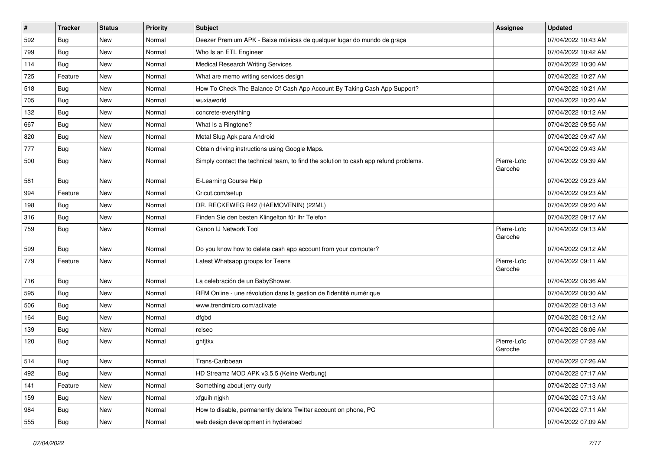| $\pmb{\#}$ | <b>Tracker</b> | <b>Status</b> | <b>Priority</b> | Subject                                                                              | Assignee               | <b>Updated</b>      |
|------------|----------------|---------------|-----------------|--------------------------------------------------------------------------------------|------------------------|---------------------|
| 592        | <b>Bug</b>     | New           | Normal          | Deezer Premium APK - Baixe músicas de qualquer lugar do mundo de graça               |                        | 07/04/2022 10:43 AM |
| 799        | Bug            | <b>New</b>    | Normal          | Who Is an ETL Engineer                                                               |                        | 07/04/2022 10:42 AM |
| 114        | Bug            | New           | Normal          | <b>Medical Research Writing Services</b>                                             |                        | 07/04/2022 10:30 AM |
| 725        | Feature        | New           | Normal          | What are memo writing services design                                                |                        | 07/04/2022 10:27 AM |
| 518        | Bug            | New           | Normal          | How To Check The Balance Of Cash App Account By Taking Cash App Support?             |                        | 07/04/2022 10:21 AM |
| 705        | <b>Bug</b>     | New           | Normal          | wuxiaworld                                                                           |                        | 07/04/2022 10:20 AM |
| 132        | Bug            | New           | Normal          | concrete-everything                                                                  |                        | 07/04/2022 10:12 AM |
| 667        | Bug            | New           | Normal          | What Is a Ringtone?                                                                  |                        | 07/04/2022 09:55 AM |
| 820        | <b>Bug</b>     | New           | Normal          | Metal Slug Apk para Android                                                          |                        | 07/04/2022 09:47 AM |
| 777        | <b>Bug</b>     | <b>New</b>    | Normal          | Obtain driving instructions using Google Maps.                                       |                        | 07/04/2022 09:43 AM |
| 500        | Bug            | New           | Normal          | Simply contact the technical team, to find the solution to cash app refund problems. | Pierre-Loïc<br>Garoche | 07/04/2022 09:39 AM |
| 581        | Bug            | New           | Normal          | E-Learning Course Help                                                               |                        | 07/04/2022 09:23 AM |
| 994        | Feature        | New           | Normal          | Cricut.com/setup                                                                     |                        | 07/04/2022 09:23 AM |
| 198        | <b>Bug</b>     | New           | Normal          | DR. RECKEWEG R42 (HAEMOVENIN) (22ML)                                                 |                        | 07/04/2022 09:20 AM |
| 316        | Bug            | New           | Normal          | Finden Sie den besten Klingelton für Ihr Telefon                                     |                        | 07/04/2022 09:17 AM |
| 759        | <b>Bug</b>     | New           | Normal          | Canon IJ Network Tool                                                                | Pierre-Loïc<br>Garoche | 07/04/2022 09:13 AM |
| 599        | Bug            | New           | Normal          | Do you know how to delete cash app account from your computer?                       |                        | 07/04/2022 09:12 AM |
| 779        | Feature        | New           | Normal          | Latest Whatsapp groups for Teens                                                     | Pierre-Loïc<br>Garoche | 07/04/2022 09:11 AM |
| 716        | Bug            | New           | Normal          | La celebración de un BabyShower.                                                     |                        | 07/04/2022 08:36 AM |
| 595        | Bug            | <b>New</b>    | Normal          | RFM Online - une révolution dans la gestion de l'identité numérique                  |                        | 07/04/2022 08:30 AM |
| 506        | <b>Bug</b>     | New           | Normal          | www.trendmicro.com/activate                                                          |                        | 07/04/2022 08:13 AM |
| 164        | Bug            | New           | Normal          | dfgbd                                                                                |                        | 07/04/2022 08:12 AM |
| 139        | Bug            | New           | Normal          | relseo                                                                               |                        | 07/04/2022 08:06 AM |
| 120        | Bug            | New           | Normal          | ghfjtkx                                                                              | Pierre-Loïc<br>Garoche | 07/04/2022 07:28 AM |
| 514        | Bug            | New           | Normal          | Trans-Caribbean                                                                      |                        | 07/04/2022 07:26 AM |
| 492        | <b>Bug</b>     | New           | Normal          | HD Streamz MOD APK v3.5.5 (Keine Werbung)                                            |                        | 07/04/2022 07:17 AM |
| 141        | Feature        | New           | Normal          | Something about jerry curly                                                          |                        | 07/04/2022 07:13 AM |
| 159        | Bug            | New           | Normal          | xfguih njgkh                                                                         |                        | 07/04/2022 07:13 AM |
| 984        | <b>Bug</b>     | New           | Normal          | How to disable, permanently delete Twitter account on phone, PC                      |                        | 07/04/2022 07:11 AM |
| 555        | <b>Bug</b>     | New           | Normal          | web design development in hyderabad                                                  |                        | 07/04/2022 07:09 AM |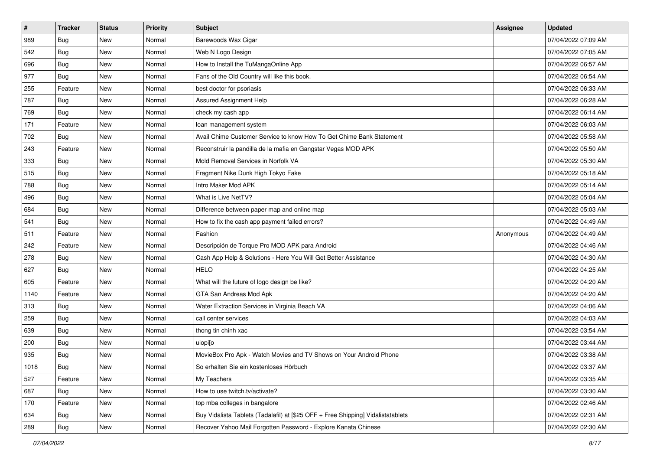| #    | <b>Tracker</b> | <b>Status</b> | <b>Priority</b> | Subject                                                                          | <b>Assignee</b> | <b>Updated</b>      |
|------|----------------|---------------|-----------------|----------------------------------------------------------------------------------|-----------------|---------------------|
| 989  | Bug            | New           | Normal          | Barewoods Wax Cigar                                                              |                 | 07/04/2022 07:09 AM |
| 542  | Bug            | <b>New</b>    | Normal          | Web N Logo Design                                                                |                 | 07/04/2022 07:05 AM |
| 696  | Bug            | New           | Normal          | How to Install the TuMangaOnline App                                             |                 | 07/04/2022 06:57 AM |
| 977  | Bug            | <b>New</b>    | Normal          | Fans of the Old Country will like this book.                                     |                 | 07/04/2022 06:54 AM |
| 255  | Feature        | <b>New</b>    | Normal          | best doctor for psoriasis                                                        |                 | 07/04/2022 06:33 AM |
| 787  | Bug            | New           | Normal          | Assured Assignment Help                                                          |                 | 07/04/2022 06:28 AM |
| 769  | Bug            | <b>New</b>    | Normal          | check my cash app                                                                |                 | 07/04/2022 06:14 AM |
| 171  | Feature        | New           | Normal          | loan management system                                                           |                 | 07/04/2022 06:03 AM |
| 702  | Bug            | New           | Normal          | Avail Chime Customer Service to know How To Get Chime Bank Statement             |                 | 07/04/2022 05:58 AM |
| 243  | Feature        | <b>New</b>    | Normal          | Reconstruir la pandilla de la mafia en Gangstar Vegas MOD APK                    |                 | 07/04/2022 05:50 AM |
| 333  | <b>Bug</b>     | New           | Normal          | Mold Removal Services in Norfolk VA                                              |                 | 07/04/2022 05:30 AM |
| 515  | Bug            | New           | Normal          | Fragment Nike Dunk High Tokyo Fake                                               |                 | 07/04/2022 05:18 AM |
| 788  | Bug            | New           | Normal          | Intro Maker Mod APK                                                              |                 | 07/04/2022 05:14 AM |
| 496  | Bug            | <b>New</b>    | Normal          | What is Live NetTV?                                                              |                 | 07/04/2022 05:04 AM |
| 684  | Bug            | <b>New</b>    | Normal          | Difference between paper map and online map                                      |                 | 07/04/2022 05:03 AM |
| 541  | Bug            | New           | Normal          | How to fix the cash app payment failed errors?                                   |                 | 07/04/2022 04:49 AM |
| 511  | Feature        | New           | Normal          | Fashion                                                                          | Anonymous       | 07/04/2022 04:49 AM |
| 242  | Feature        | <b>New</b>    | Normal          | Descripción de Torque Pro MOD APK para Android                                   |                 | 07/04/2022 04:46 AM |
| 278  | Bug            | New           | Normal          | Cash App Help & Solutions - Here You Will Get Better Assistance                  |                 | 07/04/2022 04:30 AM |
| 627  | Bug            | <b>New</b>    | Normal          | <b>HELO</b>                                                                      |                 | 07/04/2022 04:25 AM |
| 605  | Feature        | New           | Normal          | What will the future of logo design be like?                                     |                 | 07/04/2022 04:20 AM |
| 1140 | Feature        | <b>New</b>    | Normal          | GTA San Andreas Mod Apk                                                          |                 | 07/04/2022 04:20 AM |
| 313  | Bug            | <b>New</b>    | Normal          | Water Extraction Services in Virginia Beach VA                                   |                 | 07/04/2022 04:06 AM |
| 259  | Bug            | New           | Normal          | call center services                                                             |                 | 07/04/2022 04:03 AM |
| 639  | Bug            | New           | Normal          | thong tin chinh xac                                                              |                 | 07/04/2022 03:54 AM |
| 200  | Bug            | New           | Normal          | uiopijo                                                                          |                 | 07/04/2022 03:44 AM |
| 935  | <b>Bug</b>     | New           | Normal          | MovieBox Pro Apk - Watch Movies and TV Shows on Your Android Phone               |                 | 07/04/2022 03:38 AM |
| 1018 | Bug            | New           | Normal          | So erhalten Sie ein kostenloses Hörbuch                                          |                 | 07/04/2022 03:37 AM |
| 527  | Feature        | New           | Normal          | My Teachers                                                                      |                 | 07/04/2022 03:35 AM |
| 687  | Bug            | New           | Normal          | How to use twitch.tv/activate?                                                   |                 | 07/04/2022 03:30 AM |
| 170  | Feature        | New           | Normal          | top mba colleges in bangalore                                                    |                 | 07/04/2022 02:46 AM |
| 634  | <b>Bug</b>     | New           | Normal          | Buy Vidalista Tablets (Tadalafil) at [\$25 OFF + Free Shipping] Vidalistatablets |                 | 07/04/2022 02:31 AM |
| 289  | Bug            | New           | Normal          | Recover Yahoo Mail Forgotten Password - Explore Kanata Chinese                   |                 | 07/04/2022 02:30 AM |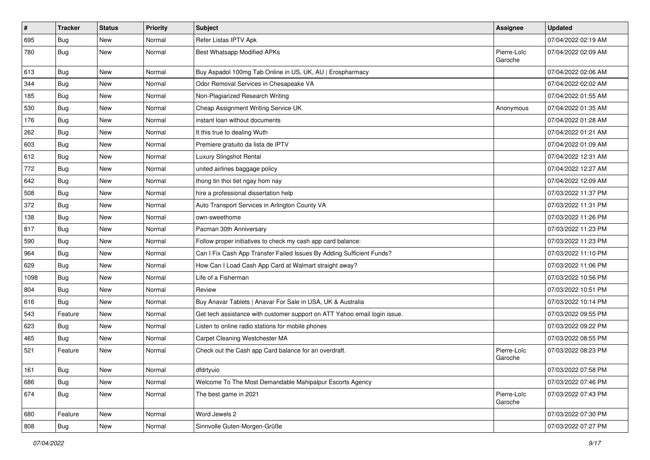| $\sharp$ | <b>Tracker</b> | <b>Status</b> | <b>Priority</b> | <b>Subject</b>                                                            | <b>Assignee</b>        | <b>Updated</b>      |
|----------|----------------|---------------|-----------------|---------------------------------------------------------------------------|------------------------|---------------------|
| 695      | <b>Bug</b>     | New           | Normal          | Refer Listas IPTV Apk                                                     |                        | 07/04/2022 02:19 AM |
| 780      | Bug            | New           | Normal          | Best Whatsapp Modified APKs                                               | Pierre-Loïc<br>Garoche | 07/04/2022 02:09 AM |
| 613      | Bug            | <b>New</b>    | Normal          | Buy Aspadol 100mg Tab Online in US, UK, AU   Erospharmacy                 |                        | 07/04/2022 02:06 AM |
| 344      | Bug            | <b>New</b>    | Normal          | Odor Removal Services in Chesapeake VA                                    |                        | 07/04/2022 02:02 AM |
| 185      | <b>Bug</b>     | New           | Normal          | Non-Plagiarized Research Writing                                          |                        | 07/04/2022 01:55 AM |
| 530      | Bug            | New           | Normal          | Cheap Assignment Writing Service UK                                       | Anonymous              | 07/04/2022 01:35 AM |
| 176      | <b>Bug</b>     | New           | Normal          | instant loan without documents                                            |                        | 07/04/2022 01:28 AM |
| 262      | <b>Bug</b>     | New           | Normal          | It this true to dealing Wuth                                              |                        | 07/04/2022 01:21 AM |
| 603      | Bug            | <b>New</b>    | Normal          | Premiere gratuito da lista de IPTV                                        |                        | 07/04/2022 01:09 AM |
| 612      | Bug            | New           | Normal          | Luxury Slingshot Rental                                                   |                        | 07/04/2022 12:31 AM |
| 772      | <b>Bug</b>     | New           | Normal          | united airlines baggage policy                                            |                        | 07/04/2022 12:27 AM |
| 642      | Bug            | <b>New</b>    | Normal          | thong tin thoi tiet ngay hom nay                                          |                        | 07/04/2022 12:09 AM |
| 508      | <b>Bug</b>     | New           | Normal          | hire a professional dissertation help                                     |                        | 07/03/2022 11:37 PM |
| 372      | Bug            | <b>New</b>    | Normal          | Auto Transport Services in Arlington County VA                            |                        | 07/03/2022 11:31 PM |
| 138      | <b>Bug</b>     | New           | Normal          | own-sweethome                                                             |                        | 07/03/2022 11:26 PM |
| 817      | Bug            | <b>New</b>    | Normal          | Pacman 30th Anniversary                                                   |                        | 07/03/2022 11:23 PM |
| 590      | Bug            | <b>New</b>    | Normal          | Follow proper initiatives to check my cash app card balance:              |                        | 07/03/2022 11:23 PM |
| 964      | <b>Bug</b>     | New           | Normal          | Can I Fix Cash App Transfer Failed Issues By Adding Sufficient Funds?     |                        | 07/03/2022 11:10 PM |
| 629      | Bug            | New           | Normal          | How Can I Load Cash App Card at Walmart straight away?                    |                        | 07/03/2022 11:06 PM |
| 1098     | <b>Bug</b>     | New           | Normal          | Life of a Fisherman                                                       |                        | 07/03/2022 10:56 PM |
| 804      | Bug            | New           | Normal          | Review                                                                    |                        | 07/03/2022 10:51 PM |
| 616      | Bug            | <b>New</b>    | Normal          | Buy Anavar Tablets   Anavar For Sale in USA, UK & Australia               |                        | 07/03/2022 10:14 PM |
| 543      | Feature        | New           | Normal          | Get tech assistance with customer support on ATT Yahoo email login issue. |                        | 07/03/2022 09:55 PM |
| 623      | Bug            | New           | Normal          | Listen to online radio stations for mobile phones                         |                        | 07/03/2022 09:22 PM |
| 465      | Bug            | <b>New</b>    | Normal          | Carpet Cleaning Westchester MA                                            |                        | 07/03/2022 08:55 PM |
| 521      | Feature        | New           | Normal          | Check out the Cash app Card balance for an overdraft.                     | Pierre-Loïc<br>Garoche | 07/03/2022 08:23 PM |
| 161      | Bug            | New           | Normal          | dfdrtyuio                                                                 |                        | 07/03/2022 07:58 PM |
| 686      | Bug            | <b>New</b>    | Normal          | Welcome To The Most Demandable Mahipalpur Escorts Agency                  |                        | 07/03/2022 07:46 PM |
| 674      | Bug            | New           | Normal          | The best game in 2021                                                     | Pierre-Loïc<br>Garoche | 07/03/2022 07:43 PM |
| 680      | Feature        | New           | Normal          | Word Jewels 2                                                             |                        | 07/03/2022 07:30 PM |
| 808      | <b>Bug</b>     | New           | Normal          | Sinnvolle Guten-Morgen-Grüße                                              |                        | 07/03/2022 07:27 PM |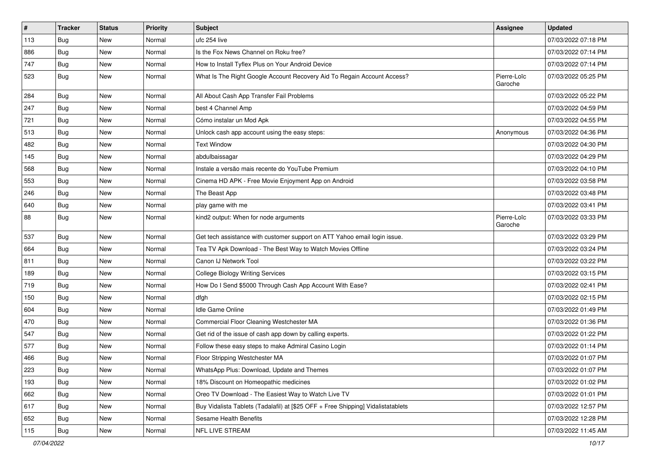| $\vert$ # | <b>Tracker</b> | <b>Status</b> | <b>Priority</b> | Subject                                                                          | <b>Assignee</b>        | <b>Updated</b>      |
|-----------|----------------|---------------|-----------------|----------------------------------------------------------------------------------|------------------------|---------------------|
| 113       | Bug            | New           | Normal          | ufc 254 live                                                                     |                        | 07/03/2022 07:18 PM |
| 886       | Bug            | <b>New</b>    | Normal          | Is the Fox News Channel on Roku free?                                            |                        | 07/03/2022 07:14 PM |
| 747       | Bug            | New           | Normal          | How to Install Tyflex Plus on Your Android Device                                |                        | 07/03/2022 07:14 PM |
| 523       | <b>Bug</b>     | New           | Normal          | What Is The Right Google Account Recovery Aid To Regain Account Access?          | Pierre-Loïc<br>Garoche | 07/03/2022 05:25 PM |
| 284       | Bug            | New           | Normal          | All About Cash App Transfer Fail Problems                                        |                        | 07/03/2022 05:22 PM |
| 247       | <b>Bug</b>     | New           | Normal          | best 4 Channel Amp                                                               |                        | 07/03/2022 04:59 PM |
| 721       | Bug            | New           | Normal          | Cómo instalar un Mod Apk                                                         |                        | 07/03/2022 04:55 PM |
| 513       | Bug            | New           | Normal          | Unlock cash app account using the easy steps:                                    | Anonymous              | 07/03/2022 04:36 PM |
| 482       | Bug            | New           | Normal          | <b>Text Window</b>                                                               |                        | 07/03/2022 04:30 PM |
| 145       | <b>Bug</b>     | New           | Normal          | abdulbaissagar                                                                   |                        | 07/03/2022 04:29 PM |
| 568       | Bug            | New           | Normal          | Instale a versão mais recente do YouTube Premium                                 |                        | 07/03/2022 04:10 PM |
| 553       | <b>Bug</b>     | New           | Normal          | Cinema HD APK - Free Movie Enjoyment App on Android                              |                        | 07/03/2022 03:58 PM |
| 246       | Bug            | New           | Normal          | The Beast App                                                                    |                        | 07/03/2022 03:48 PM |
| 640       | <b>Bug</b>     | <b>New</b>    | Normal          | play game with me                                                                |                        | 07/03/2022 03:41 PM |
| 88        | <b>Bug</b>     | New           | Normal          | kind2 output: When for node arguments                                            | Pierre-Loïc<br>Garoche | 07/03/2022 03:33 PM |
| 537       | Bug            | New           | Normal          | Get tech assistance with customer support on ATT Yahoo email login issue.        |                        | 07/03/2022 03:29 PM |
| 664       | Bug            | New           | Normal          | Tea TV Apk Download - The Best Way to Watch Movies Offline                       |                        | 07/03/2022 03:24 PM |
| 811       | Bug            | New           | Normal          | Canon IJ Network Tool                                                            |                        | 07/03/2022 03:22 PM |
| 189       | <b>Bug</b>     | New           | Normal          | <b>College Biology Writing Services</b>                                          |                        | 07/03/2022 03:15 PM |
| 719       | Bug            | New           | Normal          | How Do I Send \$5000 Through Cash App Account With Ease?                         |                        | 07/03/2022 02:41 PM |
| 150       | Bug            | New           | Normal          | dfgh                                                                             |                        | 07/03/2022 02:15 PM |
| 604       | <b>Bug</b>     | New           | Normal          | <b>Idle Game Online</b>                                                          |                        | 07/03/2022 01:49 PM |
| 470       | Bug            | New           | Normal          | Commercial Floor Cleaning Westchester MA                                         |                        | 07/03/2022 01:36 PM |
| 547       | Bug            | New           | Normal          | Get rid of the issue of cash app down by calling experts.                        |                        | 07/03/2022 01:22 PM |
| 577       | <b>Bug</b>     | New           | Normal          | Follow these easy steps to make Admiral Casino Login                             |                        | 07/03/2022 01:14 PM |
| 466       | <b>Bug</b>     | <b>New</b>    | Normal          | Floor Stripping Westchester MA                                                   |                        | 07/03/2022 01:07 PM |
| 223       | Bug            | New           | Normal          | WhatsApp Plus: Download, Update and Themes                                       |                        | 07/03/2022 01:07 PM |
| 193       | <b>Bug</b>     | New           | Normal          | 18% Discount on Homeopathic medicines                                            |                        | 07/03/2022 01:02 PM |
| 662       | Bug            | New           | Normal          | Oreo TV Download - The Easiest Way to Watch Live TV                              |                        | 07/03/2022 01:01 PM |
| 617       | <b>Bug</b>     | New           | Normal          | Buy Vidalista Tablets (Tadalafil) at [\$25 OFF + Free Shipping] Vidalistatablets |                        | 07/03/2022 12:57 PM |
| 652       | <b>Bug</b>     | New           | Normal          | Sesame Health Benefits                                                           |                        | 07/03/2022 12:28 PM |
| 115       | <b>Bug</b>     | New           | Normal          | NFL LIVE STREAM                                                                  |                        | 07/03/2022 11:45 AM |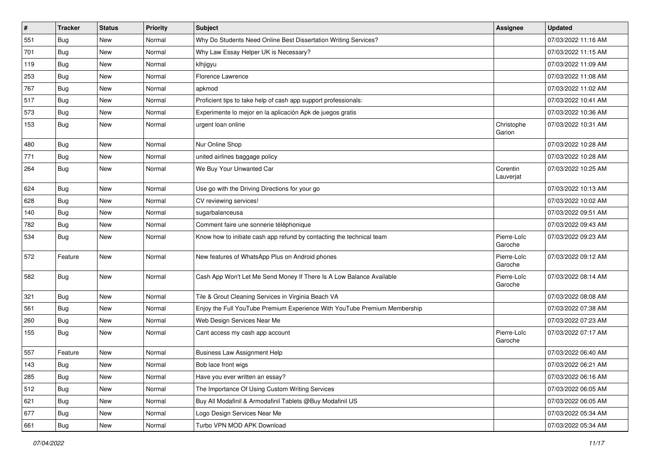| $\sharp$ | <b>Tracker</b> | <b>Status</b> | <b>Priority</b> | <b>Subject</b>                                                            | <b>Assignee</b>        | <b>Updated</b>      |
|----------|----------------|---------------|-----------------|---------------------------------------------------------------------------|------------------------|---------------------|
| 551      | <b>Bug</b>     | New           | Normal          | Why Do Students Need Online Best Dissertation Writing Services?           |                        | 07/03/2022 11:16 AM |
| 701      | Bug            | New           | Normal          | Why Law Essay Helper UK is Necessary?                                     |                        | 07/03/2022 11:15 AM |
| 119      | Bug            | New           | Normal          | klhjigyu                                                                  |                        | 07/03/2022 11:09 AM |
| 253      | <b>Bug</b>     | New           | Normal          | Florence Lawrence                                                         |                        | 07/03/2022 11:08 AM |
| 767      | <b>Bug</b>     | New           | Normal          | apkmod                                                                    |                        | 07/03/2022 11:02 AM |
| 517      | <b>Bug</b>     | New           | Normal          | Proficient tips to take help of cash app support professionals:           |                        | 07/03/2022 10:41 AM |
| 573      | Bug            | New           | Normal          | Experimente lo mejor en la aplicación Apk de juegos gratis                |                        | 07/03/2022 10:36 AM |
| 153      | Bug            | New           | Normal          | urgent loan online                                                        | Christophe<br>Garion   | 07/03/2022 10:31 AM |
| 480      | Bug            | New           | Normal          | Nur Online Shop                                                           |                        | 07/03/2022 10:28 AM |
| 771      | Bug            | New           | Normal          | united airlines baggage policy                                            |                        | 07/03/2022 10:28 AM |
| 264      | <b>Bug</b>     | New           | Normal          | We Buy Your Unwanted Car                                                  | Corentin<br>Lauverjat  | 07/03/2022 10:25 AM |
| 624      | <b>Bug</b>     | New           | Normal          | Use go with the Driving Directions for your go                            |                        | 07/03/2022 10:13 AM |
| 628      | Bug            | New           | Normal          | CV reviewing services!                                                    |                        | 07/03/2022 10:02 AM |
| 140      | Bug            | New           | Normal          | sugarbalanceusa                                                           |                        | 07/03/2022 09:51 AM |
| 782      | <b>Bug</b>     | New           | Normal          | Comment faire une sonnerie téléphonique                                   |                        | 07/03/2022 09:43 AM |
| 534      | <b>Bug</b>     | New           | Normal          | Know how to initiate cash app refund by contacting the technical team     | Pierre-Loïc<br>Garoche | 07/03/2022 09:23 AM |
| 572      | Feature        | New           | Normal          | New features of WhatsApp Plus on Android phones                           | Pierre-Loïc<br>Garoche | 07/03/2022 09:12 AM |
| 582      | <b>Bug</b>     | New           | Normal          | Cash App Won't Let Me Send Money If There Is A Low Balance Available      | Pierre-Loïc<br>Garoche | 07/03/2022 08:14 AM |
| 321      | <b>Bug</b>     | New           | Normal          | Tile & Grout Cleaning Services in Virginia Beach VA                       |                        | 07/03/2022 08:08 AM |
| 561      | <b>Bug</b>     | New           | Normal          | Enjoy the Full YouTube Premium Experience With YouTube Premium Membership |                        | 07/03/2022 07:38 AM |
| 260      | <b>Bug</b>     | New           | Normal          | Web Design Services Near Me                                               |                        | 07/03/2022 07:23 AM |
| 155      | <b>Bug</b>     | New           | Normal          | Cant access my cash app account                                           | Pierre-Loïc<br>Garoche | 07/03/2022 07:17 AM |
| 557      | Feature        | <b>New</b>    | Normal          | <b>Business Law Assignment Help</b>                                       |                        | 07/03/2022 06:40 AM |
| 143      | Bug            | New           | Normal          | Bob lace front wigs                                                       |                        | 07/03/2022 06:21 AM |
| 285      | Bug            | New           | Normal          | Have you ever written an essay?                                           |                        | 07/03/2022 06:16 AM |
| 512      | Bug            | New           | Normal          | The Importance Of Using Custom Writing Services                           |                        | 07/03/2022 06:05 AM |
| 621      | Bug            | New           | Normal          | Buy All Modafinil & Armodafinil Tablets @Buy Modafinil US                 |                        | 07/03/2022 06:05 AM |
| 677      | Bug            | New           | Normal          | Logo Design Services Near Me                                              |                        | 07/03/2022 05:34 AM |
| 661      | Bug            | New           | Normal          | Turbo VPN MOD APK Download                                                |                        | 07/03/2022 05:34 AM |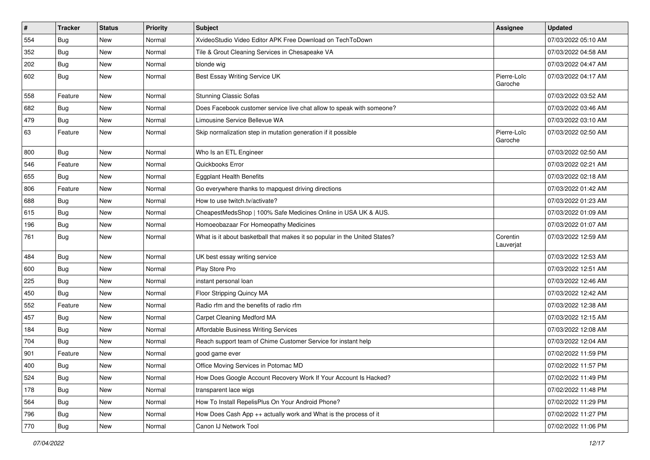| $\vert$ # | <b>Tracker</b> | <b>Status</b> | <b>Priority</b> | Subject                                                                    | <b>Assignee</b>        | <b>Updated</b>      |
|-----------|----------------|---------------|-----------------|----------------------------------------------------------------------------|------------------------|---------------------|
| 554       | Bug            | New           | Normal          | XvideoStudio Video Editor APK Free Download on TechToDown                  |                        | 07/03/2022 05:10 AM |
| 352       | Bug            | <b>New</b>    | Normal          | Tile & Grout Cleaning Services in Chesapeake VA                            |                        | 07/03/2022 04:58 AM |
| 202       | Bug            | New           | Normal          | blonde wig                                                                 |                        | 07/03/2022 04:47 AM |
| 602       | <b>Bug</b>     | New           | Normal          | Best Essay Writing Service UK                                              | Pierre-Loïc<br>Garoche | 07/03/2022 04:17 AM |
| 558       | Feature        | <b>New</b>    | Normal          | <b>Stunning Classic Sofas</b>                                              |                        | 07/03/2022 03:52 AM |
| 682       | Bug            | <b>New</b>    | Normal          | Does Facebook customer service live chat allow to speak with someone?      |                        | 07/03/2022 03:46 AM |
| 479       | Bug            | New           | Normal          | Limousine Service Bellevue WA                                              |                        | 07/03/2022 03:10 AM |
| 63        | Feature        | New           | Normal          | Skip normalization step in mutation generation if it possible              | Pierre-Loïc<br>Garoche | 07/03/2022 02:50 AM |
| 800       | Bug            | New           | Normal          | Who Is an ETL Engineer                                                     |                        | 07/03/2022 02:50 AM |
| 546       | Feature        | <b>New</b>    | Normal          | Quickbooks Error                                                           |                        | 07/03/2022 02:21 AM |
| 655       | Bug            | New           | Normal          | <b>Eggplant Health Benefits</b>                                            |                        | 07/03/2022 02:18 AM |
| 806       | Feature        | New           | Normal          | Go everywhere thanks to mapquest driving directions                        |                        | 07/03/2022 01:42 AM |
| 688       | Bug            | <b>New</b>    | Normal          | How to use twitch.tv/activate?                                             |                        | 07/03/2022 01:23 AM |
| 615       | Bug            | New           | Normal          | CheapestMedsShop   100% Safe Medicines Online in USA UK & AUS.             |                        | 07/03/2022 01:09 AM |
| 196       | <b>Bug</b>     | New           | Normal          | Homoeobazaar For Homeopathy Medicines                                      |                        | 07/03/2022 01:07 AM |
| 761       | Bug            | New           | Normal          | What is it about basketball that makes it so popular in the United States? | Corentin<br>Lauverjat  | 07/03/2022 12:59 AM |
| 484       | Bug            | New           | Normal          | UK best essay writing service                                              |                        | 07/03/2022 12:53 AM |
| 600       | Bug            | New           | Normal          | Play Store Pro                                                             |                        | 07/03/2022 12:51 AM |
| 225       | Bug            | New           | Normal          | instant personal loan                                                      |                        | 07/03/2022 12:46 AM |
| 450       | Bug            | New           | Normal          | Floor Stripping Quincy MA                                                  |                        | 07/03/2022 12:42 AM |
| 552       | Feature        | New           | Normal          | Radio rfm and the benefits of radio rfm                                    |                        | 07/03/2022 12:38 AM |
| 457       | Bug            | New           | Normal          | Carpet Cleaning Medford MA                                                 |                        | 07/03/2022 12:15 AM |
| 184       | Bug            | New           | Normal          | Affordable Business Writing Services                                       |                        | 07/03/2022 12:08 AM |
| 704       | <b>Bug</b>     | New           | Normal          | Reach support team of Chime Customer Service for instant help              |                        | 07/03/2022 12:04 AM |
| 901       | Feature        | New           | Normal          | good game ever                                                             |                        | 07/02/2022 11:59 PM |
| 400       | Bug            | New           | Normal          | Office Moving Services in Potomac MD                                       |                        | 07/02/2022 11:57 PM |
| 524       | Bug            | New           | Normal          | How Does Google Account Recovery Work If Your Account Is Hacked?           |                        | 07/02/2022 11:49 PM |
| 178       | Bug            | New           | Normal          | transparent lace wigs                                                      |                        | 07/02/2022 11:48 PM |
| 564       | Bug            | New           | Normal          | How To Install RepelisPlus On Your Android Phone?                          |                        | 07/02/2022 11:29 PM |
| 796       | Bug            | New           | Normal          | How Does Cash App ++ actually work and What is the process of it           |                        | 07/02/2022 11:27 PM |
| 770       | <b>Bug</b>     | New           | Normal          | Canon IJ Network Tool                                                      |                        | 07/02/2022 11:06 PM |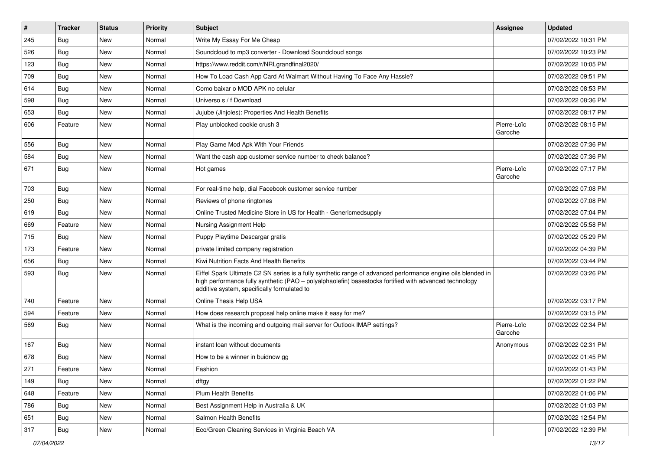| $\vert$ # | <b>Tracker</b> | <b>Status</b> | <b>Priority</b> | <b>Subject</b>                                                                                                                                                                                                                                                        | <b>Assignee</b>        | <b>Updated</b>      |
|-----------|----------------|---------------|-----------------|-----------------------------------------------------------------------------------------------------------------------------------------------------------------------------------------------------------------------------------------------------------------------|------------------------|---------------------|
| 245       | <b>Bug</b>     | New           | Normal          | Write My Essay For Me Cheap                                                                                                                                                                                                                                           |                        | 07/02/2022 10:31 PM |
| 526       | Bug            | New           | Normal          | Soundcloud to mp3 converter - Download Soundcloud songs                                                                                                                                                                                                               |                        | 07/02/2022 10:23 PM |
| 123       | Bug            | New           | Normal          | https://www.reddit.com/r/NRLgrandfinal2020/                                                                                                                                                                                                                           |                        | 07/02/2022 10:05 PM |
| 709       | Bug            | New           | Normal          | How To Load Cash App Card At Walmart Without Having To Face Any Hassle?                                                                                                                                                                                               |                        | 07/02/2022 09:51 PM |
| 614       | Bug            | New           | Normal          | Como baixar o MOD APK no celular                                                                                                                                                                                                                                      |                        | 07/02/2022 08:53 PM |
| 598       | Bug            | New           | Normal          | Universo s / f Download                                                                                                                                                                                                                                               |                        | 07/02/2022 08:36 PM |
| 653       | Bug            | New           | Normal          | Jujube (Jinjoles): Properties And Health Benefits                                                                                                                                                                                                                     |                        | 07/02/2022 08:17 PM |
| 606       | Feature        | New           | Normal          | Play unblocked cookie crush 3                                                                                                                                                                                                                                         | Pierre-Loïc<br>Garoche | 07/02/2022 08:15 PM |
| 556       | <b>Bug</b>     | <b>New</b>    | Normal          | Play Game Mod Apk With Your Friends                                                                                                                                                                                                                                   |                        | 07/02/2022 07:36 PM |
| 584       | Bug            | New           | Normal          | Want the cash app customer service number to check balance?                                                                                                                                                                                                           |                        | 07/02/2022 07:36 PM |
| 671       | <b>Bug</b>     | New           | Normal          | Hot games                                                                                                                                                                                                                                                             | Pierre-Loïc<br>Garoche | 07/02/2022 07:17 PM |
| 703       | Bug            | <b>New</b>    | Normal          | For real-time help, dial Facebook customer service number                                                                                                                                                                                                             |                        | 07/02/2022 07:08 PM |
| 250       | Bug            | New           | Normal          | Reviews of phone ringtones                                                                                                                                                                                                                                            |                        | 07/02/2022 07:08 PM |
| 619       | Bug            | <b>New</b>    | Normal          | Online Trusted Medicine Store in US for Health - Genericmedsupply                                                                                                                                                                                                     |                        | 07/02/2022 07:04 PM |
| 669       | Feature        | New           | Normal          | Nursing Assignment Help                                                                                                                                                                                                                                               |                        | 07/02/2022 05:58 PM |
| 715       | Bug            | New           | Normal          | Puppy Playtime Descargar gratis                                                                                                                                                                                                                                       |                        | 07/02/2022 05:29 PM |
| 173       | Feature        | New           | Normal          | private limited company registration                                                                                                                                                                                                                                  |                        | 07/02/2022 04:39 PM |
| 656       | Bug            | New           | Normal          | Kiwi Nutrition Facts And Health Benefits                                                                                                                                                                                                                              |                        | 07/02/2022 03:44 PM |
| 593       | <b>Bug</b>     | New           | Normal          | Eiffel Spark Ultimate C2 SN series is a fully synthetic range of advanced performance engine oils blended in<br>high performance fully synthetic (PAO - polyalphaolefin) basestocks fortified with advanced technology<br>additive system, specifically formulated to |                        | 07/02/2022 03:26 PM |
| 740       | Feature        | <b>New</b>    | Normal          | Online Thesis Help USA                                                                                                                                                                                                                                                |                        | 07/02/2022 03:17 PM |
| 594       | Feature        | New           | Normal          | How does research proposal help online make it easy for me?                                                                                                                                                                                                           |                        | 07/02/2022 03:15 PM |
| 569       | <b>Bug</b>     | New           | Normal          | What is the incoming and outgoing mail server for Outlook IMAP settings?                                                                                                                                                                                              | Pierre-Loïc<br>Garoche | 07/02/2022 02:34 PM |
| 167       | Bug            | <b>New</b>    | Normal          | instant loan without documents                                                                                                                                                                                                                                        | Anonymous              | 07/02/2022 02:31 PM |
| 678       | Bug            | New           | Normal          | How to be a winner in buidnow gg                                                                                                                                                                                                                                      |                        | 07/02/2022 01:45 PM |
| 271       | Feature        | New           | Normal          | Fashion                                                                                                                                                                                                                                                               |                        | 07/02/2022 01:43 PM |
| 149       | Bug            | <b>New</b>    | Normal          | dftgy                                                                                                                                                                                                                                                                 |                        | 07/02/2022 01:22 PM |
| 648       | Feature        | New           | Normal          | Plum Health Benefits                                                                                                                                                                                                                                                  |                        | 07/02/2022 01:06 PM |
| 786       | Bug            | New           | Normal          | Best Assignment Help in Australia & UK                                                                                                                                                                                                                                |                        | 07/02/2022 01:03 PM |
| 651       | Bug            | New           | Normal          | Salmon Health Benefits                                                                                                                                                                                                                                                |                        | 07/02/2022 12:54 PM |
| 317       | <b>Bug</b>     | New           | Normal          | Eco/Green Cleaning Services in Virginia Beach VA                                                                                                                                                                                                                      |                        | 07/02/2022 12:39 PM |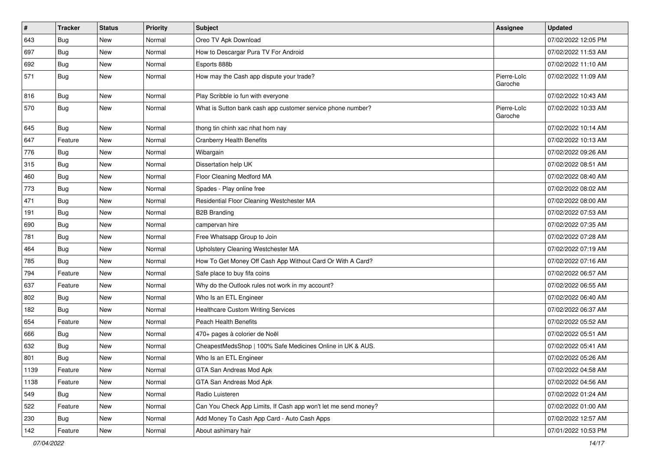| $\vert$ # | <b>Tracker</b> | <b>Status</b> | <b>Priority</b> | <b>Subject</b>                                                 | Assignee               | <b>Updated</b>      |
|-----------|----------------|---------------|-----------------|----------------------------------------------------------------|------------------------|---------------------|
| 643       | <b>Bug</b>     | New           | Normal          | Oreo TV Apk Download                                           |                        | 07/02/2022 12:05 PM |
| 697       | Bug            | <b>New</b>    | Normal          | How to Descargar Pura TV For Android                           |                        | 07/02/2022 11:53 AM |
| 692       | Bug            | New           | Normal          | Esports 888b                                                   |                        | 07/02/2022 11:10 AM |
| 571       | Bug            | New           | Normal          | How may the Cash app dispute your trade?                       | Pierre-Loïc<br>Garoche | 07/02/2022 11:09 AM |
| 816       | Bug            | New           | Normal          | Play Scribble io fun with everyone                             |                        | 07/02/2022 10:43 AM |
| 570       | Bug            | New           | Normal          | What is Sutton bank cash app customer service phone number?    | Pierre-Loïc<br>Garoche | 07/02/2022 10:33 AM |
| 645       | Bug            | New           | Normal          | thong tin chinh xac nhat hom nay                               |                        | 07/02/2022 10:14 AM |
| 647       | Feature        | <b>New</b>    | Normal          | <b>Cranberry Health Benefits</b>                               |                        | 07/02/2022 10:13 AM |
| 776       | <b>Bug</b>     | New           | Normal          | Wibargain                                                      |                        | 07/02/2022 09:26 AM |
| 315       | Bug            | New           | Normal          | Dissertation help UK                                           |                        | 07/02/2022 08:51 AM |
| 460       | Bug            | New           | Normal          | Floor Cleaning Medford MA                                      |                        | 07/02/2022 08:40 AM |
| 773       | Bug            | New           | Normal          | Spades - Play online free                                      |                        | 07/02/2022 08:02 AM |
| 471       | Bug            | New           | Normal          | Residential Floor Cleaning Westchester MA                      |                        | 07/02/2022 08:00 AM |
| 191       | Bug            | New           | Normal          | <b>B2B Branding</b>                                            |                        | 07/02/2022 07:53 AM |
| 690       | Bug            | New           | Normal          | campervan hire                                                 |                        | 07/02/2022 07:35 AM |
| 781       | Bug            | New           | Normal          | Free Whatsapp Group to Join                                    |                        | 07/02/2022 07:28 AM |
| 464       | <b>Bug</b>     | New           | Normal          | Upholstery Cleaning Westchester MA                             |                        | 07/02/2022 07:19 AM |
| 785       | Bug            | New           | Normal          | How To Get Money Off Cash App Without Card Or With A Card?     |                        | 07/02/2022 07:16 AM |
| 794       | Feature        | New           | Normal          | Safe place to buy fifa coins                                   |                        | 07/02/2022 06:57 AM |
| 637       | Feature        | New           | Normal          | Why do the Outlook rules not work in my account?               |                        | 07/02/2022 06:55 AM |
| 802       | Bug            | New           | Normal          | Who Is an ETL Engineer                                         |                        | 07/02/2022 06:40 AM |
| 182       | Bug            | New           | Normal          | <b>Healthcare Custom Writing Services</b>                      |                        | 07/02/2022 06:37 AM |
| 654       | Feature        | New           | Normal          | <b>Peach Health Benefits</b>                                   |                        | 07/02/2022 05:52 AM |
| 666       | Bug            | New           | Normal          | 470+ pages à colorier de Noël                                  |                        | 07/02/2022 05:51 AM |
| 632       | Bug            | New           | Normal          | CheapestMedsShop   100% Safe Medicines Online in UK & AUS.     |                        | 07/02/2022 05:41 AM |
| 801       | Bug            | New           | Normal          | Who Is an ETL Engineer                                         |                        | 07/02/2022 05:26 AM |
| 1139      | Feature        | New           | Normal          | GTA San Andreas Mod Apk                                        |                        | 07/02/2022 04:58 AM |
| 1138      | Feature        | New           | Normal          | GTA San Andreas Mod Apk                                        |                        | 07/02/2022 04:56 AM |
| 549       | Bug            | New           | Normal          | Radio Luisteren                                                |                        | 07/02/2022 01:24 AM |
| 522       | Feature        | New           | Normal          | Can You Check App Limits, If Cash app won't let me send money? |                        | 07/02/2022 01:00 AM |
| 230       | Bug            | New           | Normal          | Add Money To Cash App Card - Auto Cash Apps                    |                        | 07/02/2022 12:57 AM |
| 142       | Feature        | New           | Normal          | About ashimary hair                                            |                        | 07/01/2022 10:53 PM |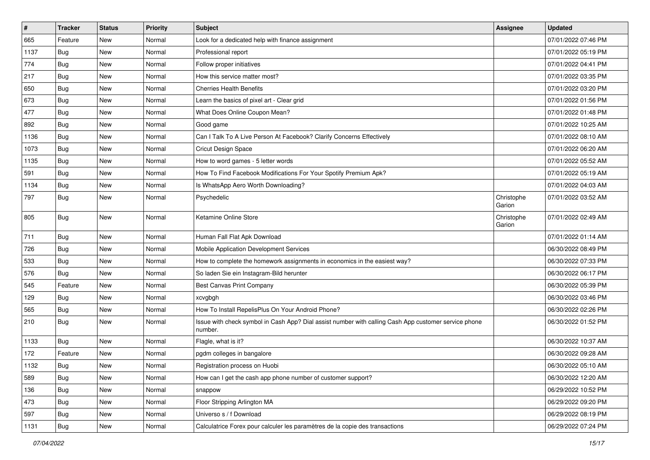| $\vert$ # | <b>Tracker</b> | <b>Status</b> | <b>Priority</b> | <b>Subject</b>                                                                                                  | <b>Assignee</b>      | <b>Updated</b>      |
|-----------|----------------|---------------|-----------------|-----------------------------------------------------------------------------------------------------------------|----------------------|---------------------|
| 665       | Feature        | New           | Normal          | Look for a dedicated help with finance assignment                                                               |                      | 07/01/2022 07:46 PM |
| 1137      | Bug            | <b>New</b>    | Normal          | Professional report                                                                                             |                      | 07/01/2022 05:19 PM |
| 774       | Bug            | New           | Normal          | Follow proper initiatives                                                                                       |                      | 07/01/2022 04:41 PM |
| 217       | Bug            | New           | Normal          | How this service matter most?                                                                                   |                      | 07/01/2022 03:35 PM |
| 650       | Bug            | New           | Normal          | <b>Cherries Health Benefits</b>                                                                                 |                      | 07/01/2022 03:20 PM |
| 673       | <b>Bug</b>     | New           | Normal          | Learn the basics of pixel art - Clear grid                                                                      |                      | 07/01/2022 01:56 PM |
| 477       | Bug            | New           | Normal          | What Does Online Coupon Mean?                                                                                   |                      | 07/01/2022 01:48 PM |
| 892       | Bug            | New           | Normal          | Good game                                                                                                       |                      | 07/01/2022 10:25 AM |
| 1136      | Bug            | New           | Normal          | Can I Talk To A Live Person At Facebook? Clarify Concerns Effectively                                           |                      | 07/01/2022 08:10 AM |
| 1073      | Bug            | <b>New</b>    | Normal          | <b>Cricut Design Space</b>                                                                                      |                      | 07/01/2022 06:20 AM |
| 1135      | <b>Bug</b>     | New           | Normal          | How to word games - 5 letter words                                                                              |                      | 07/01/2022 05:52 AM |
| 591       | Bug            | New           | Normal          | How To Find Facebook Modifications For Your Spotify Premium Apk?                                                |                      | 07/01/2022 05:19 AM |
| 1134      | Bug            | New           | Normal          | Is WhatsApp Aero Worth Downloading?                                                                             |                      | 07/01/2022 04:03 AM |
| 797       | <b>Bug</b>     | New           | Normal          | Psychedelic                                                                                                     | Christophe<br>Garion | 07/01/2022 03:52 AM |
| 805       | Bug            | <b>New</b>    | Normal          | Ketamine Online Store                                                                                           | Christophe<br>Garion | 07/01/2022 02:49 AM |
| 711       | Bug            | <b>New</b>    | Normal          | Human Fall Flat Apk Download                                                                                    |                      | 07/01/2022 01:14 AM |
| 726       | <b>Bug</b>     | New           | Normal          | Mobile Application Development Services                                                                         |                      | 06/30/2022 08:49 PM |
| 533       | Bug            | New           | Normal          | How to complete the homework assignments in economics in the easiest way?                                       |                      | 06/30/2022 07:33 PM |
| 576       | Bug            | <b>New</b>    | Normal          | So laden Sie ein Instagram-Bild herunter                                                                        |                      | 06/30/2022 06:17 PM |
| 545       | Feature        | New           | Normal          | Best Canvas Print Company                                                                                       |                      | 06/30/2022 05:39 PM |
| 129       | <b>Bug</b>     | <b>New</b>    | Normal          | xcvgbgh                                                                                                         |                      | 06/30/2022 03:46 PM |
| 565       | Bug            | New           | Normal          | How To Install RepelisPlus On Your Android Phone?                                                               |                      | 06/30/2022 02:26 PM |
| 210       | Bug            | New           | Normal          | Issue with check symbol in Cash App? Dial assist number with calling Cash App customer service phone<br>number. |                      | 06/30/2022 01:52 PM |
| 1133      | Bug            | <b>New</b>    | Normal          | Flagle, what is it?                                                                                             |                      | 06/30/2022 10:37 AM |
| 172       | Feature        | New           | Normal          | pgdm colleges in bangalore                                                                                      |                      | 06/30/2022 09:28 AM |
| 1132      | Bug            | New           | Normal          | Registration process on Huobi                                                                                   |                      | 06/30/2022 05:10 AM |
| 589       | Bug            | New           | Normal          | How can I get the cash app phone number of customer support?                                                    |                      | 06/30/2022 12:20 AM |
| 136       | <b>Bug</b>     | New           | Normal          | snappow                                                                                                         |                      | 06/29/2022 10:52 PM |
| 473       | Bug            | New           | Normal          | Floor Stripping Arlington MA                                                                                    |                      | 06/29/2022 09:20 PM |
| 597       | Bug            | New           | Normal          | Universo s / f Download                                                                                         |                      | 06/29/2022 08:19 PM |
| 1131      | Bug            | New           | Normal          | Calculatrice Forex pour calculer les paramètres de la copie des transactions                                    |                      | 06/29/2022 07:24 PM |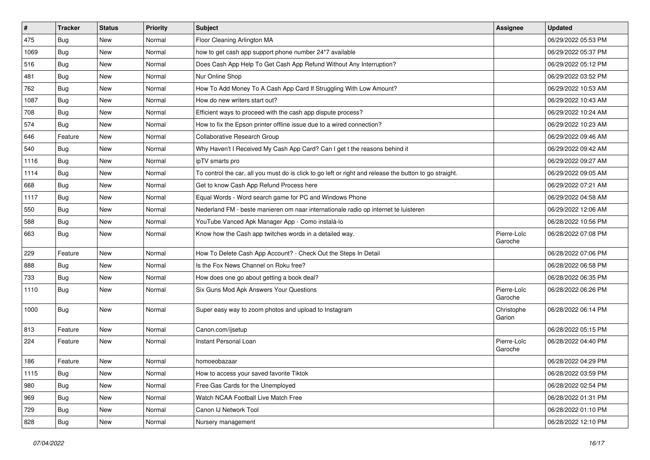| $\vert$ # | <b>Tracker</b> | <b>Status</b> | <b>Priority</b> | <b>Subject</b>                                                                                          | <b>Assignee</b>        | <b>Updated</b>      |
|-----------|----------------|---------------|-----------------|---------------------------------------------------------------------------------------------------------|------------------------|---------------------|
| 475       | Bug            | New           | Normal          | Floor Cleaning Arlington MA                                                                             |                        | 06/29/2022 05:53 PM |
| 1069      | <b>Bug</b>     | <b>New</b>    | Normal          | how to get cash app support phone number 24*7 available                                                 |                        | 06/29/2022 05:37 PM |
| 516       | Bug            | New           | Normal          | Does Cash App Help To Get Cash App Refund Without Any Interruption?                                     |                        | 06/29/2022 05:12 PM |
| 481       | Bug            | New           | Normal          | Nur Online Shop                                                                                         |                        | 06/29/2022 03:52 PM |
| 762       | Bug            | New           | Normal          | How To Add Money To A Cash App Card If Struggling With Low Amount?                                      |                        | 06/29/2022 10:53 AM |
| 1087      | Bug            | New           | Normal          | How do new writers start out?                                                                           |                        | 06/29/2022 10:43 AM |
| 708       | Bug            | New           | Normal          | Efficient ways to proceed with the cash app dispute process?                                            |                        | 06/29/2022 10:24 AM |
| 574       | <b>Bug</b>     | New           | Normal          | How to fix the Epson printer offline issue due to a wired connection?                                   |                        | 06/29/2022 10:23 AM |
| 646       | Feature        | New           | Normal          | Collaborative Research Group                                                                            |                        | 06/29/2022 09:46 AM |
| 540       | Bug            | New           | Normal          | Why Haven't I Received My Cash App Card? Can I get t the reasons behind it                              |                        | 06/29/2022 09:42 AM |
| 1116      | <b>Bug</b>     | New           | Normal          | ipTV smarts pro                                                                                         |                        | 06/29/2022 09:27 AM |
| 1114      | Bug            | New           | Normal          | To control the car, all you must do is click to go left or right and release the button to go straight. |                        | 06/29/2022 09:05 AM |
| 668       | Bug            | New           | Normal          | Get to know Cash App Refund Process here                                                                |                        | 06/29/2022 07:21 AM |
| 1117      | <b>Bug</b>     | New           | Normal          | Equal Words - Word search game for PC and Windows Phone                                                 |                        | 06/29/2022 04:58 AM |
| 550       | Bug            | New           | Normal          | Nederland FM - beste manieren om naar internationale radio op internet te luisteren                     |                        | 06/29/2022 12:06 AM |
| 588       | <b>Bug</b>     | New           | Normal          | YouTube Vanced Apk Manager App - Como instalá-lo                                                        |                        | 06/28/2022 10:56 PM |
| 663       | Bug            | New           | Normal          | Know how the Cash app twitches words in a detailed way.                                                 | Pierre-Loïc<br>Garoche | 06/28/2022 07:08 PM |
| 229       | Feature        | New           | Normal          | How To Delete Cash App Account? - Check Out the Steps In Detail                                         |                        | 06/28/2022 07:06 PM |
| 888       | Bug            | New           | Normal          | Is the Fox News Channel on Roku free?                                                                   |                        | 06/28/2022 06:58 PM |
| 733       | Bug            | New           | Normal          | How does one go about getting a book deal?                                                              |                        | 06/28/2022 06:35 PM |
| 1110      | Bug            | New           | Normal          | Six Guns Mod Apk Answers Your Questions                                                                 | Pierre-Loïc<br>Garoche | 06/28/2022 06:26 PM |
| 1000      | Bug            | New           | Normal          | Super easy way to zoom photos and upload to Instagram                                                   | Christophe<br>Garion   | 06/28/2022 06:14 PM |
| 813       | Feature        | New           | Normal          | Canon.com/ijsetup                                                                                       |                        | 06/28/2022 05:15 PM |
| 224       | Feature        | New           | Normal          | Instant Personal Loan                                                                                   | Pierre-Loïc<br>Garoche | 06/28/2022 04:40 PM |
| 186       | Feature        | New           | Normal          | homoeobazaar                                                                                            |                        | 06/28/2022 04:29 PM |
| 1115      | <b>Bug</b>     | New           | Normal          | How to access your saved favorite Tiktok                                                                |                        | 06/28/2022 03:59 PM |
| 980       | <b>Bug</b>     | New           | Normal          | Free Gas Cards for the Unemployed                                                                       |                        | 06/28/2022 02:54 PM |
| 969       | Bug            | New           | Normal          | Watch NCAA Football Live Match Free                                                                     |                        | 06/28/2022 01:31 PM |
| 729       | Bug            | New           | Normal          | Canon IJ Network Tool                                                                                   |                        | 06/28/2022 01:10 PM |
| 828       | <b>Bug</b>     | New           | Normal          | Nursery management                                                                                      |                        | 06/28/2022 12:10 PM |